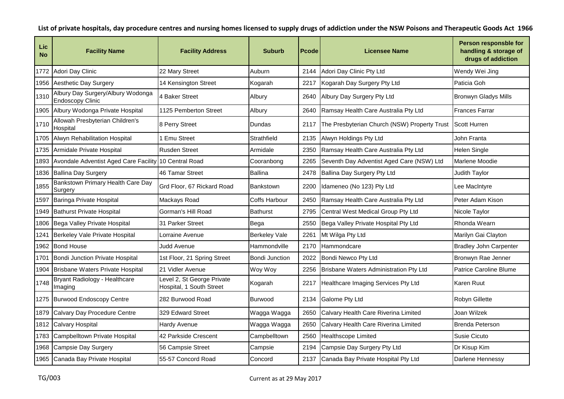| Lic<br><b>No</b> | <b>Facility Name</b>                                         | <b>Facility Address</b>                                | <b>Suburb</b>         | Pcode | <b>Licensee Name</b>                         | Person responsble for<br>handling & storage of<br>drugs of addiction |
|------------------|--------------------------------------------------------------|--------------------------------------------------------|-----------------------|-------|----------------------------------------------|----------------------------------------------------------------------|
| 1772             | Adori Day Clinic                                             | 22 Mary Street                                         | Auburn                | 2144  | Adori Day Clinic Pty Ltd                     | Wendy Wei Jing                                                       |
| 1956             | Aesthetic Day Surgery                                        | 14 Kensington Street                                   | Kogarah               | 2217  | Kogarah Day Surgery Pty Ltd                  | Paticia Goh                                                          |
| 1310             | Albury Day Surgery/Albury Wodonga<br><b>Endoscopy Clinic</b> | 4 Baker Street                                         | Albury                | 2640  | Albury Day Surgery Pty Ltd                   | <b>Bronwyn Gladys Mills</b>                                          |
| 1905             | Albury Wodonga Private Hospital                              | 1125 Pemberton Street                                  | Albury                | 2640  | Ramsay Health Care Australia Pty Ltd         | Frances Farrar                                                       |
| 1710             | Allowah Presbyterian Children's<br>Hospital                  | 8 Perry Street                                         | Dundas                | 2117  | The Presbyterian Church (NSW) Property Trust | <b>Scott Hurren</b>                                                  |
| 1705             | Alwyn Rehabilitation Hospital                                | <b>Emu Street</b>                                      | Strathfield           | 2135  | Alwyn Holdings Pty Ltd                       | John Franta                                                          |
| 1735             | Armidale Private Hospital                                    | <b>Rusden Street</b>                                   | Armidale              | 2350  | Ramsay Health Care Australia Pty Ltd         | <b>Helen Single</b>                                                  |
| 1893             | Avondale Adventist Aged Care Facility                        | 10 Central Road                                        | Cooranbong            | 2265  | Seventh Day Adventist Aged Care (NSW) Ltd    | Marlene Moodie                                                       |
| 1836             | <b>Ballina Day Surgery</b>                                   | 46 Tamar Street                                        | <b>Ballina</b>        | 2478  | Ballina Day Surgery Pty Ltd                  | Judith Taylor                                                        |
| 1855             | Bankstown Primary Health Care Day<br>Surgery                 | Grd Floor, 67 Rickard Road                             | <b>Bankstown</b>      | 2200  | Idameneo (No 123) Pty Ltd                    | Lee MacIntyre                                                        |
| 1597             | Baringa Private Hospital                                     | Mackays Road                                           | Coffs Harbour         | 2450  | Ramsay Health Care Australia Pty Ltd         | Peter Adam Kison                                                     |
| 1949             | <b>Bathurst Private Hospital</b>                             | Gorman's Hill Road                                     | Bathurst              | 2795  | Central West Medical Group Pty Ltd           | Nicole Taylor                                                        |
| 1806             | Bega Valley Private Hospital                                 | 31 Parker Street                                       | Bega                  | 2550  | Bega Valley Private Hospital Pty Ltd         | Rhonda Wearn                                                         |
| 1241             | Berkeley Vale Private Hospital                               | Lorraine Avenue                                        | <b>Berkeley Vale</b>  | 2261  | Mt Wilga Pty Ltd                             | Marilyn Gai Clayton                                                  |
| 1962             | <b>Bond House</b>                                            | Judd Avenue                                            | Hammondville          | 2170  | Hammondcare                                  | <b>Bradley John Carpenter</b>                                        |
| 1701             | Bondi Junction Private Hospital                              | 1st Floor, 21 Spring Street                            | <b>Bondi Junction</b> | 2022  | Bondi Newco Pty Ltd                          | Bronwyn Rae Jenner                                                   |
| 1904             | Brisbane Waters Private Hospital                             | 21 Vidler Avenue                                       | Woy Woy               | 2256  | Brisbane Waters Administration Pty Ltd       | Patrice Caroline Blume                                               |
| 1748             | Bryant Radiology - Healthcare<br>Imaging                     | Level 2, St George Private<br>Hospital, 1 South Street | Kogarah               | 2217  | Healthcare Imaging Services Pty Ltd          | Karen Ruut                                                           |
|                  | 1275 Burwood Endoscopy Centre                                | 282 Burwood Road                                       | <b>Burwood</b>        | 2134  | <b>Galome Pty Ltd</b>                        | Robyn Gillette                                                       |
| 1879             | Calvary Day Procedure Centre                                 | 329 Edward Street                                      | Wagga Wagga           | 2650  | Calvary Health Care Riverina Limited         | Joan Wilzek                                                          |
| 1812             | <b>Calvary Hospital</b>                                      | Hardy Avenue                                           | Wagga Wagga           | 2650  | Calvary Health Care Riverina Limited         | <b>Brenda Peterson</b>                                               |
| 1783             | Campbelltown Private Hospital                                | 42 Parkside Crescent                                   | Campbelltown          | 2560  | Healthscope Limited                          | Susie Cicuto                                                         |
| 1968             | Campsie Day Surgery                                          | 56 Campsie Street                                      | Campsie               | 2194  | Campsie Day Surgery Pty Ltd                  | Dr Kisup Kim                                                         |
|                  | 1965 Canada Bay Private Hospital                             | 55-57 Concord Road                                     | Concord               | 2137  | Canada Bay Private Hospital Pty Ltd          | Darlene Hennessy                                                     |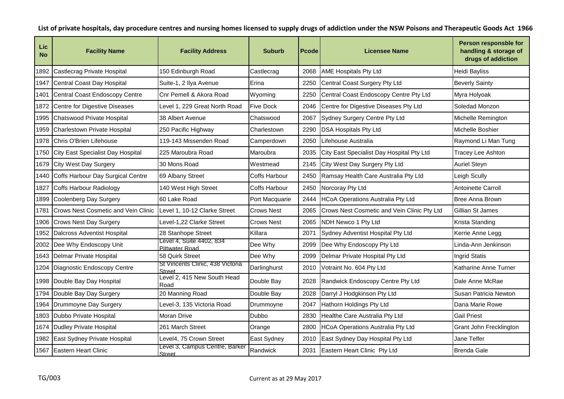| Lic<br><b>No</b> | <b>Facility Name</b>                       | <b>Facility Address</b>                         | <b>Suburb</b>     | Pcode | <b>Licensee Name</b>                        | Person responsble for<br>handling & storage of<br>drugs of addiction |
|------------------|--------------------------------------------|-------------------------------------------------|-------------------|-------|---------------------------------------------|----------------------------------------------------------------------|
| 1892             | Castlecrag Private Hospital                | 150 Edinburgh Road                              | Castlecrag        | 2068  | <b>AME Hospitals Pty Ltd</b>                | <b>Heidi Bayliss</b>                                                 |
| 1947             | Central Coast Day Hospital                 | Suite-1, 2 Ilya Avenue                          | Erina             | 2250  | Central Coast Surgery Pty Ltd               | <b>Beverly Sainty</b>                                                |
| 1401             | Central Coast Endoscopy Centre             | Cnr Pemell & Akora Road                         | Wyoming           | 2250  | Central Coast Endoscopy Centre Pty Ltd      | Myra Holyoak                                                         |
| 1872             | Centre for Digestive Diseases              | Level 1, 229 Great North Road                   | <b>Five Dock</b>  | 2046  | Centre for Digestive Diseases Pty Ltd       | Soledad Monzon                                                       |
| 1995             | Chatswood Private Hospital                 | 38 Albert Avenue                                | Chatswood         | 2067  | Sydney Surgery Centre Pty Ltd               | Michelle Remington                                                   |
| 1959             | Charlestown Private Hospital               | 250 Pacific Highway                             | Charlestown       | 2290  | <b>DSA Hospitals Pty Ltd</b>                | Michelle Boshier                                                     |
| 1978             | Chris O'Brien Lifehouse                    | 119-143 Missenden Road                          | Camperdown        | 2050  | Lifehouse Australia                         | Raymond Li Man Tung                                                  |
| 1750             | City East Specialist Day Hospital          | 225 Maroubra Road                               | Maroubra          | 2035  | City East Specialist Day Hospital Pty Ltd   | Tracey Lee Ashton                                                    |
| 1679             | <b>City West Day Surgery</b>               | 30 Mons Road                                    | Westmead          | 2145  | City West Day Surgery Pty Ltd               | <b>Auriel Steyn</b>                                                  |
| 1440             | Coffs Harbour Day Surgical Centre          | 69 Albany Street                                | Coffs Harbour     | 2450  | Ramsay Health Care Australia Pty Ltd        | Leigh Scully                                                         |
| 1827             | Coffs Harbour Radiology                    | 140 West High Street                            | Coffs Harbour     | 2450  | Norcoray Pty Ltd                            | Antoinette Carroll                                                   |
| 1899             | Coolenberg Day Surgery                     | 60 Lake Road                                    | Port Macquarie    | 2444  | <b>HCoA Operations Australia Pty Ltd</b>    | Bree Anna Brown                                                      |
| 1781             | <b>Crows Nest Cosmetic and Vein Clinic</b> | Level 1, 10-12 Clarke Street                    | <b>Crows Nest</b> | 2065  | Crows Nest Cosmetic and Vein Clinic Pty Ltd | Gillian St James                                                     |
| 1906             | <b>Crows Nest Day Surgery</b>              | Level-1,22 Clarke Street                        | <b>Crows Nest</b> | 2065  | NDH Newco 1 Pty Ltd                         | Krista Standing                                                      |
| 1952             | <b>Dalcross Adventist Hospital</b>         | 28 Stanhope Street                              | Killara           | 2071  | Sydney Adventist Hospital Pty Ltd           | Kerrie Anne Legg                                                     |
| 2002             | Dee Why Endoscopy Unit                     | Level 4, Suite 4402, 834<br>Pittwater Road      | Dee Why           | 2099  | Dee Why Endoscopy Pty Ltd                   | Linda-Ann Jenkinson                                                  |
| 1643             | Delmar Private Hospital                    | 58 Quirk Street                                 | Dee Why           | 2099  | Delmar Private Hospital Pty Ltd             | <b>Ingrid Statis</b>                                                 |
| 1204             | Diagnostic Endoscopy Centre                | St Vincents Clinic, 438 Victoria<br>Street      | Darlinghurst      | 2010  | Votraint No. 604 Pty Ltd                    | Katharine Anne Turner                                                |
| 1998             | Double Bay Day Hospital                    | Level 2, 415 New South Head<br>Road             | Double Bay        | 2028  | Randwick Endoscopy Centre Pty Ltd           | Dale Anne McRae                                                      |
| 1794             | Double Bay Day Surgery                     | 20 Manning Road                                 | Double Bay        | 2028  | Darryl J Hodgkinson Pty Ltd                 | Susan Patricia Newton                                                |
| 1964             | Drummoyne Day Surgery                      | Level-3, 135 Victoria Road                      | Drummoyne         | 2047  | Hathorn Holdings Pty Ltd                    | Dana Marie Rowe                                                      |
| 1803             | Dubbo Private Hospital                     | Moran Drive                                     | <b>Dubbo</b>      | 2830  | Healthe Care Australia Pty Ltd              | <b>Gail Priest</b>                                                   |
| 1674             | Dudley Private Hospital                    | 261 March Street                                | Orange            | 2800  | <b>HCoA Operations Australia Pty Ltd</b>    | Grant John Frecklington                                              |
| 1982             | East Sydney Private Hospital               | Level4, 75 Crown Street                         | East Sydney       | 2010  | East Sydney Day Hospital Pty Ltd            | Jane Telfer                                                          |
| 1567             | <b>Eastern Heart Clinic</b>                | Level 3, Campus Centre, Barker<br><b>Street</b> | Randwick          | 2031  | Eastern Heart Clinic Pty Ltd                | <b>Brenda Gale</b>                                                   |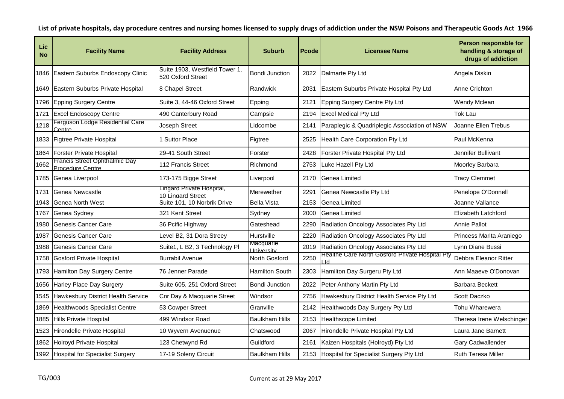| Lic<br><b>No</b> | <b>Facility Name</b>                                     | <b>Facility Address</b>                             | <b>Suburb</b>                  | Pcode | <b>Licensee Name</b>                                  | Person responsble for<br>handling & storage of<br>drugs of addiction |
|------------------|----------------------------------------------------------|-----------------------------------------------------|--------------------------------|-------|-------------------------------------------------------|----------------------------------------------------------------------|
| 1846             | Eastern Suburbs Endoscopy Clinic                         | Suite 1903, Westfield Tower 1,<br>520 Oxford Street | Bondi Junction                 | 2022  | Dalmarte Pty Ltd                                      | Angela Diskin                                                        |
| 1649             | Eastern Suburbs Private Hospital                         | 8 Chapel Street                                     | Randwick                       | 2031  | Eastern Suburbs Private Hospital Pty Ltd              | Anne Crichton                                                        |
| 1796             | <b>Epping Surgery Centre</b>                             | Suite 3, 44-46 Oxford Street                        | Epping                         | 2121  | Epping Surgery Centre Pty Ltd                         | Wendy Mclean                                                         |
| 1721             | <b>Excel Endoscopy Centre</b>                            | 490 Canterbury Road                                 | Campsie                        | 2194  | <b>Excel Medical Pty Ltd</b>                          | <b>Tok Lau</b>                                                       |
| 1218             | Ferguson Lodge Residential Care<br>Centre                | Joseph Street                                       | Lidcombe                       | 2141  | Paraplegic & Quadriplegic Association of NSW          | Joanne Ellen Trebus                                                  |
| 1833             | Figtree Private Hospital                                 | 1 Suttor Place                                      | Figtree                        | 2525  | Health Care Corporation Pty Ltd                       | Paul McKenna                                                         |
| 1864             | <b>Forster Private Hospital</b>                          | 29-41 South Street                                  | Forster                        | 2428  | Forster Private Hospital Pty Ltd                      | Jennifer Bullivant                                                   |
| 1662             | <b>Francis Street Ophthalmic Day</b><br>Procedure Centre | 112 Francis Street                                  | Richmond                       | 2753  | Luke Hazell Pty Ltd                                   | Moorley Barbara                                                      |
| 1785             | Genea Liverpool                                          | 173-175 Bigge Street                                | Liverpool                      | 2170  | Genea Limited                                         | <b>Tracy Clemmet</b>                                                 |
| 1731             | Genea Newcastle                                          | Lingard Private Hospital,<br>10 Lingard Street      | Merewether                     | 2291  | Genea Newcastle Pty Ltd                               | Penelope O'Donnell                                                   |
| 1943             | <b>Genea North West</b>                                  | Suite 101, 10 Norbrik Drive                         | <b>Bella Vista</b>             | 2153  | Genea Limited                                         | Joanne Vallance                                                      |
| 1767             | Genea Sydney                                             | 321 Kent Street                                     | Sydney                         | 2000  | Genea Limited                                         | Elizabeth Latchford                                                  |
| 1980             | Genesis Cancer Care                                      | 36 Pcific Highway                                   | Gateshead                      | 2290  | Radiation Oncology Associates Pty Ltd                 | Annie Pallot                                                         |
| 1987             | Genesis Cancer Care                                      | Level B2, 31 Dora Streey                            | Hurstville                     | 2220  | Radiation Oncology Associates Pty Ltd                 | Princess Marita Araniego                                             |
| 1988             | Genesis Cancer Care                                      | Suite1, L B2, 3 Technology PI                       | Macquarie<br><b>Jniversity</b> | 2019  | Radiation Oncology Associates Pty Ltd                 | Lynn Diane Bussi                                                     |
| 1758             | <b>Gosford Private Hospital</b>                          | <b>Burrabil Avenue</b>                              | North Gosford                  | 2250  | Healthe Care North Gostord Private Hospital Pty<br>hd | Debbra Eleanor Ritter                                                |
| 1793             | Hamilton Day Surgery Centre                              | 76 Jenner Parade                                    | Hamilton South                 | 2303  | Hamilton Day Surgeru Pty Ltd                          | Ann Maaeve O'Donovan                                                 |
| 1656             | <b>Harley Place Day Surgery</b>                          | Suite 605, 251 Oxford Street                        | <b>Bondi Junction</b>          | 2022  | Peter Anthony Martin Pty Ltd                          | <b>Barbara Beckett</b>                                               |
| 1545             | Hawkesbury District Health Service                       | Cnr Day & Macquarie Street                          | Windsor                        | 2756  | Hawkesbury District Health Service Pty Ltd            | Scott Daczko                                                         |
| 1869             | <b>Healthwoods Specialist Centre</b>                     | 53 Cowper Street                                    | Granville                      | 2142  | Healthwoods Day Surgery Pty Ltd                       | Tohu Wharewera                                                       |
| 1885             | <b>Hills Private Hospital</b>                            | 499 Windsor Road                                    | <b>Baulkham Hills</b>          | 2153  | Healthscope Limited                                   | Theresa Irene Welschinger                                            |
| 1523             | Hirondelle Private Hospital                              | 10 Wyvern Avenuenue                                 | Chatswood                      | 2067  | Hirondelle Private Hospital Pty Ltd                   | Laura Jane Barnett                                                   |
| 1862             | Holroyd Private Hospital                                 | 123 Chetwynd Rd                                     | Guildford                      | 2161  | Kaizen Hospitals (Holroyd) Pty Ltd                    | Gary Cadwallender                                                    |
|                  | 1992 Hospital for Specialist Surgery                     | 17-19 Soleny Circuit                                | <b>Baulkham Hills</b>          | 2153  | Hospital for Specialist Surgery Pty Ltd               | Ruth Teresa Miller                                                   |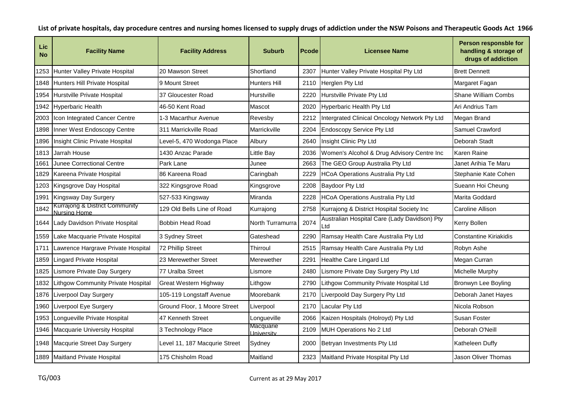| Lic<br><b>No</b> | <b>Facility Name</b>                           | <b>Facility Address</b>       | <b>Suburb</b>                  | <b>Pcode</b> | Licensee Name                                       | Person responsble for<br>handling & storage of<br>drugs of addiction |
|------------------|------------------------------------------------|-------------------------------|--------------------------------|--------------|-----------------------------------------------------|----------------------------------------------------------------------|
| 1253             | Hunter Valley Private Hospital                 | 20 Mawson Street              | Shortland                      | 2307         | Hunter Valley Private Hospital Pty Ltd              | <b>Brett Dennett</b>                                                 |
| 1848             | Hunters Hill Private Hospital                  | 9 Mount Street                | <b>Hunters Hill</b>            | 2110         | Herglen Pty Ltd                                     | Margaret Fagan                                                       |
| 1954             | Hurstville Private Hospital                    | 37 Gloucester Road            | Hurstville                     | 2220         | Hurstville Private Pty Ltd                          | <b>Shane William Combs</b>                                           |
| 1942             | <b>Hyperbaric Health</b>                       | 46-50 Kent Road               | Mascot                         | 2020         | Hyperbaric Health Pty Ltd                           | Ari Andrius Tam                                                      |
| 2003             | Icon Integrated Cancer Centre                  | 1-3 Macarthur Avenue          | Revesby                        | 2212         | Intergrated Clinical Oncology Network Pty Ltd       | Megan Brand                                                          |
| 1898             | Inner West Endoscopy Centre                    | 311 Marrickville Road         | Marrickville                   | 2204         | <b>Endoscopy Service Pty Ltd</b>                    | Samuel Crawford                                                      |
| 1896             | Insight Clinic Private Hospital                | Level-5, 470 Wodonga Place    | Albury                         | 2640         | Insight Clinic Pty Ltd                              | Deborah Stadt                                                        |
| 1813             | Jarrah House                                   | 1430 Anzac Parade             | Little Bay                     | 2036         | Women's Alcohol & Drug Advisory Centre Inc          | Karen Raine                                                          |
| 1661             | <b>Junee Correctional Centre</b>               | Park Lane                     | Junee                          | 2663         | The GEO Group Australia Pty Ltd                     | Janet Arihia Te Maru                                                 |
| 1829             | Kareena Private Hospital                       | 86 Kareena Road               | Caringbah                      | 2229         | <b>HCoA Operations Australia Pty Ltd</b>            | Stephanie Kate Cohen                                                 |
| 1203             | Kingsgrove Day Hospital                        | 322 Kingsgrove Road           | Kingsgrove                     | 2208         | <b>Baydoor Pty Ltd</b>                              | Sueann Hoi Cheung                                                    |
| 1991             | Kingsway Day Surgery                           | 527-533 Kingsway              | Miranda                        | 2228         | HCoA Operations Australia Pty Ltd                   | Marita Goddard                                                       |
| 1842             | Kurrajong & District Community<br>Nursing Home | 129 Old Bells Line of Road    | Kurrajong                      | 2758         | Kurrajong & District Hospital Society Inc           | Caroline Allison                                                     |
| 1644             | Lady Davidson Private Hospital                 | <b>Bobbin Head Road</b>       | North Turramurra               | 2074         | Australian Hospital Care (Lady Davidson) Pty<br>Ltd | Kerry Bollen                                                         |
| 1559             | Lake Macquarie Private Hospital                | 3 Sydney Street               | Gateshead                      | 2290         | Ramsay Health Care Australia Pty Ltd                | <b>Constantine Kiriakidis</b>                                        |
| 1711             | Lawrence Hargrave Private Hospital             | 72 Phillip Street             | Thirroul                       | 2515         | Ramsay Health Care Australia Pty Ltd                | Robyn Ashe                                                           |
| 1859             | <b>Lingard Private Hospital</b>                | 23 Merewether Street          | Merewether                     | 2291         | Healthe Care Lingard Ltd                            | Megan Curran                                                         |
| 1825             | Lismore Private Day Surgery                    | 77 Uralba Street              | Lismore                        | 2480         | Lismore Private Day Surgery Pty Ltd                 | Michelle Murphy                                                      |
| 1832             | <b>Lithgow Community Private Hospital</b>      | Great Western Highway         | Lithgow                        | 2790         | Lithgow Community Private Hospital Ltd              | Bronwyn Lee Boyling                                                  |
| 1876             | <b>Liverpool Day Surgery</b>                   | 105-119 Longstaff Avenue      | Moorebank                      | 2170         | Liverpoold Day Surgery Pty Ltd                      | Deborah Janet Hayes                                                  |
| 1960             | Liverpool Eye Surgery                          | Ground Floor, 1 Moore Street  | Liverpool                      | 2170         | Lacular Pty Ltd                                     | Nicola Robson                                                        |
| 1953             | Longueville Private Hospital                   | 47 Kenneth Street             | Longueville                    | 2066         | Kaizen Hospitals (Holroyd) Pty Ltd                  | Susan Foster                                                         |
| 1946             | Macquarie University Hospital                  | 3 Technology Place            | Macquarie<br><b>University</b> | 2109         | MUH Operations No 2 Ltd                             | Deborah O'Neill                                                      |
| 1948             | Macqurie Street Day Surgery                    | Level 11, 187 Macqurie Street | Sydney                         | 2000         | Betryan Investments Pty Ltd                         | Katheleen Duffy                                                      |
| 1889             | Maitland Private Hospital                      | 175 Chisholm Road             | Maitland                       | 2323         | Maitland Private Hospital Pty Ltd                   | Jason Oliver Thomas                                                  |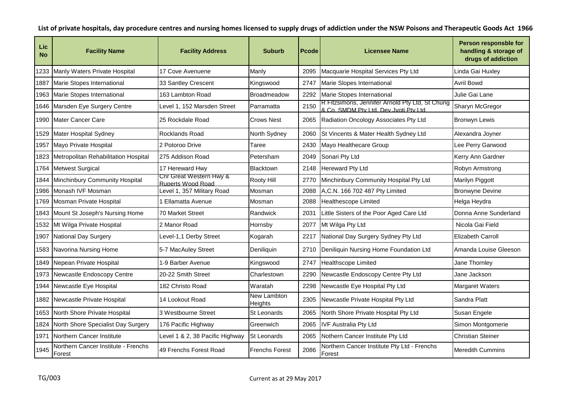| <b>Lic</b><br><b>No</b> | <b>Facility Name</b>                          | <b>Facility Address</b>                      | <b>Suburb</b>          | <b>Pcode</b> | Licensee Name                                                                              | Person responsble for<br>handling & storage of<br>drugs of addiction |
|-------------------------|-----------------------------------------------|----------------------------------------------|------------------------|--------------|--------------------------------------------------------------------------------------------|----------------------------------------------------------------------|
| 1233                    | Manly Waters Private Hospital                 | 17 Cove Avenuene                             | Manly                  | 2095         | Macquarie Hospital Services Pty Ltd                                                        | Linda Gai Huxley                                                     |
| 1887                    | Marie Stopes International                    | 33 Santley Crescent                          | Kingswood              | 2747         | Marie Slopes International                                                                 | Avril Bowd                                                           |
| 1963                    | Marie Stopes International                    | 163 Lambton Road                             | <b>Broadmeadow</b>     | 2292         | Marie Stopes International                                                                 | Julie Gai Lane                                                       |
| 1646                    | Marsden Eye Surgery Centre                    | Level 1, 152 Marsden Street                  | Parramatta             | 2150         | R Fitzsimons, Jennifer Arnold Pty Ltd, St Chung<br>& Co. SMDM Ptv I td. Dev Jvoti Ptv I td | Sharyn McGregor                                                      |
| 1990                    | Mater Cancer Care                             | 25 Rockdale Road                             | <b>Crows Nest</b>      | 2065         | Radiation Oncology Associates Pty Ltd                                                      | <b>Bronwyn Lewis</b>                                                 |
| 1529                    | <b>Mater Hospital Sydney</b>                  | Rocklands Road                               | North Sydney           | 2060         | St Vincents & Mater Health Sydney Ltd                                                      | Alexandra Joyner                                                     |
| 1957                    | Mayo Private Hospital                         | 2 Potoroo Drive                              | Taree                  | 2430         | Mayo Healthecare Group                                                                     | Lee Perry Garwood                                                    |
| 1823                    | Metropolitan Rehabilitation Hospital          | 275 Addison Road                             | Petersham              | 2049         | Sonari Pty Ltd                                                                             | Kerry Ann Gardner                                                    |
| 1764                    | <b>Metwest Surgical</b>                       | 17 Hereward Hwy                              | Blacktown              | 2148         | Hereward Pty Ltd                                                                           | Robyn Armstrong                                                      |
| 1844                    | Minchinbury Community Hospital                | Cnr Great Western Hwy &<br>Ruperts Wood Road | Rooty Hill             | 2770         | Minchinbury Community Hospital Pty Ltd                                                     | Marilyn Piggott                                                      |
| 1986                    | Monash IVF Mosman                             | Level 1, 357 Military Road                   | Mosman                 | 2088         | A, C.N. 166 702 487 Pty Limited                                                            | <b>Bronwyne Devine</b>                                               |
| 1769                    | Mosman Private Hospital                       | I Ellamatta Avenue                           | Mosman                 | 2088         | <b>Healthescope Limited</b>                                                                | Helga Heydra                                                         |
| 1843                    | Mount St Joseph's Nursing Home                | 70 Market Street                             | Randwick               | 2031         | Little Sisters of the Poor Aged Care Ltd                                                   | Donna Anne Sunderland                                                |
| 1532                    | Mt Wilga Private Hospital                     | 2 Manor Road                                 | Hornsby                | 2077         | Mt Wilga Pty Ltd                                                                           | Nicola Gai Field                                                     |
| 1907                    | National Day Surgery                          | Level-1,1 Derby Street                       | Kogarah                | 2217         | National Day Surgery Sydney Pty Ltd                                                        | <b>Elizabeth Carroll</b>                                             |
| 1583                    | Navorina Nursing Home                         | 5-7 MacAuley Street                          | Deniliquin             | 2710         | Deniliquin Nursing Home Foundation Ltd                                                     | Amanda Louise Gleeson                                                |
| 1849                    | Nepean Private Hospital                       | 1-9 Barber Avenue                            | Kingswood              | 2747         | <b>Healthscope Limited</b>                                                                 | Jane Thornley                                                        |
| 1973                    | Newcastle Endoscopy Centre                    | 20-22 Smith Street                           | Charlestown            | 2290         | Newcastle Endoscopy Centre Pty Ltd                                                         | Jane Jackson                                                         |
| 1944                    | Newcastle Eye Hospital                        | 182 Christo Road                             | Waratah                | 2298         | Newcastle Eye Hospital Pty Ltd                                                             | Margaret Waters                                                      |
| 1882                    | Newcastle Private Hospital                    | 14 Lookout Road                              | New Lambton<br>Heights | 2305         | Newcastle Private Hospital Pty Ltd                                                         | Sandra Platt                                                         |
| 1653                    | North Shore Private Hospital                  | 3 Westbourne Street                          | St Leonards            | 2065         | North Shore Private Hospital Pty Ltd                                                       | Susan Engele                                                         |
| 1824                    | North Shore Specialist Day Surgery            | 176 Pacific Highway                          | Greenwich              | 2065         | <b>IVF Australia Pty Ltd</b>                                                               | Simon Montgomerie                                                    |
| 1971                    | Northern Cancer Institute                     | Level 1 & 2, 38 Pacific Highway              | St Leonards            | 2065         | Nothern Cancer Institute Pty Ltd                                                           | <b>Christian Steiner</b>                                             |
| 1945                    | Northern Cancer Institute - Frenchs<br>Forest | 49 Frenchs Forest Road                       | <b>Frenchs Forest</b>  | 2086         | Northern Cancer Institute Pty Ltd - Frenchs<br>Forest                                      | <b>Meredith Cummins</b>                                              |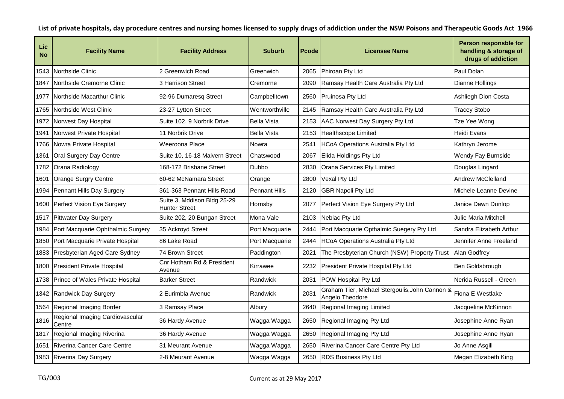| Lic<br><b>No</b> | <b>Facility Name</b>                      | <b>Facility Address</b>                      | <b>Suburb</b>        | <b>Pcode</b> | <b>Licensee Name</b>                                              | Person responsble for<br>handling & storage of<br>drugs of addiction |
|------------------|-------------------------------------------|----------------------------------------------|----------------------|--------------|-------------------------------------------------------------------|----------------------------------------------------------------------|
| 1543             | Northside Clinic                          | 2 Greenwich Road                             | Greenwich            | 2065         | Phiroan Pty Ltd                                                   | Paul Dolan                                                           |
| 1847             | Northside Cremorne Clinic                 | 3 Harrison Street                            | Cremorne             | 2090         | Ramsay Health Care Australia Pty Ltd                              | Dianne Hollings                                                      |
| 1977             | Northside Macarthur Clinic                | 92-96 Dumaresq Street                        | Campbelltown         | 2560         | Pruinosa Pty Ltd                                                  | Ashliegh Dion Costa                                                  |
| 1765             | Northside West Clinic                     | 23-27 Lytton Street                          | Wentworthville       | 2145         | Ramsay Health Care Australia Pty Ltd                              | <b>Tracey Stobo</b>                                                  |
| 1972             | Norwest Day Hospital                      | Suite 102, 9 Norbrik Drive                   | <b>Bella Vista</b>   | 2153         | AAC Norwest Day Surgery Pty Ltd                                   | Tze Yee Wong                                                         |
| 1941             | Norwest Private Hospital                  | 11 Norbrik Drive                             | <b>Bella Vista</b>   | 2153         | Healthscope Limited                                               | Heidi Evans                                                          |
| 1766             | Nowra Private Hospital                    | Weeroona Place                               | Nowra                | 2541         | <b>HCoA Operations Australia Pty Ltd</b>                          | Kathryn Jerome                                                       |
| 1361             | Oral Surgery Day Centre                   | Suite 10, 16-18 Malvern Street               | Chatswood            | 2067         | Elida Holdings Pty Ltd                                            | Wendy Fay Burnside                                                   |
| 1782             | Orana Radiology                           | 168-172 Brisbane Street                      | <b>Dubbo</b>         | 2830         | Orana Services Pty Limited                                        | Douglas Lingard                                                      |
| 1601             | <b>Orange Surgry Centre</b>               | 60-62 McNamara Street                        | Orange               | 2800         | Vexal Pty Ltd                                                     | <b>Andrew McClelland</b>                                             |
| 1994             | Pennant Hills Day Surgery                 | 361-363 Pennant Hills Road                   | <b>Pennant Hills</b> | 2120         | <b>GBR Napoli Pty Ltd</b>                                         | Michele Leanne Devine                                                |
| 1600             | Perfect Vision Eye Surgery                | Suite 3, Mddison Bldg 25-29<br>Hunter Street | Hornsby              | 2077         | Perfect Vision Eye Surgery Pty Ltd                                | Janice Dawn Dunlop                                                   |
| 1517             | Pittwater Day Surgery                     | Suite 202, 20 Bungan Street                  | Mona Vale            | 2103         | Nebiac Pty Ltd                                                    | Julie Maria Mitchell                                                 |
| 1984             | Port Macquarie Ophthalmic Surgery         | 35 Ackroyd Street                            | Port Macquarie       | 2444         | Port Macquarie Opthalmic Suegery Pty Ltd                          | Sandra Elizabeth Arthur                                              |
| 1850             | Port Macquarie Private Hospital           | 86 Lake Road                                 | Port Macquarie       | 2444         | <b>HCoA Operations Australia Pty Ltd</b>                          | Jennifer Anne Freeland                                               |
| 1883             | Presbyterian Aged Care Sydney             | 74 Brown Street                              | Paddington           | 2021         | The Presbyterian Church (NSW) Property Trust                      | Alan Godfrey                                                         |
| 1800             | <b>President Private Hospital</b>         | Cnr Hotham Rd & President<br>Avenue          | Kirrawee             | 2232         | President Private Hospital Pty Ltd                                | Ben Goldsbrough                                                      |
| 1738             | Prince of Wales Private Hospital          | <b>Barker Street</b>                         | Randwick             | 2031         | POW Hospital Pty Ltd                                              | Nerida Russell - Green                                               |
| 1342             | Randwick Day Surgery                      | 2 Eurimbla Avenue                            | Randwick             | 2031         | Graham Tier, Michael Stergoulis, John Cannon &<br>Angelo Theodore | Fiona E Westlake                                                     |
| 1564             | Regional Imaging Border                   | 3 Ramsay Place                               | Albury               | 2640         | Regional Imaging Limited                                          | Jacqueline McKinnon                                                  |
| 1816             | Regional Imaging Cardiovascular<br>Centre | 36 Hardy Avenue                              | Wagga Wagga          | 2650         | Regional Imaging Pty Ltd                                          | Josephine Anne Ryan                                                  |
| 1817             | Regional Imaging Riverina                 | 36 Hardy Avenue                              | Wagga Wagga          | 2650         | Regional Imaging Pty Ltd                                          | Josephine Anne Ryan                                                  |
| 1651             | Riverina Cancer Care Centre               | 31 Meurant Avenue                            | Wagga Wagga          | 2650         | Riverina Cancer Care Centre Pty Ltd                               | Jo Anne Asgill                                                       |
| 1983             | Riverina Day Surgery                      | 2-8 Meurant Avenue                           | Wagga Wagga          | 2650         | <b>RDS Business Pty Ltd</b>                                       | Megan Elizabeth King                                                 |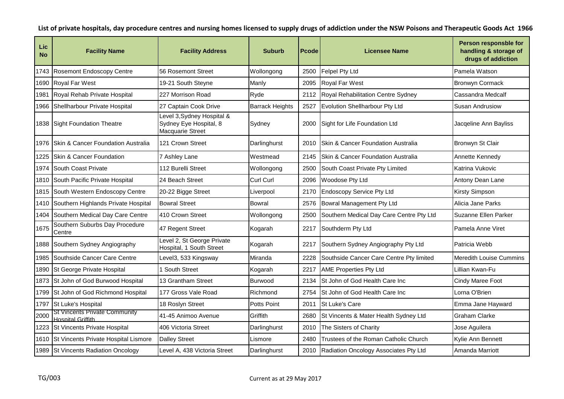| Lic<br><b>No</b> | <b>Facility Name</b>                                             | <b>Facility Address</b>                                                  | <b>Suburb</b>          | <b>Pcode</b> | <b>Licensee Name</b>                       | Person responsble for<br>handling & storage of<br>drugs of addiction |
|------------------|------------------------------------------------------------------|--------------------------------------------------------------------------|------------------------|--------------|--------------------------------------------|----------------------------------------------------------------------|
| 1743             | Rosemont Endoscopy Centre                                        | 56 Rosemont Street                                                       | Wollongong             | 2500         | <b>Felpel Pty Ltd</b>                      | Pamela Watson                                                        |
| 1690             | <b>Royal Far West</b>                                            | 19-21 South Steyne                                                       | Manly                  | 2095         | <b>Royal Far West</b>                      | <b>Bronwyn Cormack</b>                                               |
| 1981             | Royal Rehab Private Hospital                                     | 227 Morrison Road                                                        | Ryde                   | 2112         | Royal Rehabilitation Centre Sydney         | Cassandra Medcalf                                                    |
| 1966             | Shellharbour Private Hospital                                    | 27 Captain Cook Drive                                                    | <b>Barrack Heights</b> | 2527         | Evolution Shellharbour Pty Ltd             | Susan Andrusiow                                                      |
|                  | 1838 Sight Foundation Theatre                                    | Level 3, Sydney Hospital &<br>Sydney Eye Hospital, 8<br>Macquarie Street | Sydney                 | 2000         | Sight for Life Foundation Ltd              | Jacqeline Ann Bayliss                                                |
| 1976             | Skin & Cancer Foundation Australia                               | 121 Crown Street                                                         | Darlinghurst           | 2010         | Skin & Cancer Foundation Australia         | Bronwyn St Clair                                                     |
| 1225             | Skin & Cancer Foundation                                         | 7 Ashley Lane                                                            | Westmead               | 2145         | Skin & Cancer Foundation Australia         | Annette Kennedy                                                      |
| 1974             | South Coast Private                                              | 112 Burelli Street                                                       | Wollongong             | 2500         | South Coast Private Pty Limited            | Katrina Vukovic                                                      |
| 1810             | South Pacific Private Hospital                                   | 24 Beach Street                                                          | Curl Curl              | 2096         | Woodose Pty Ltd                            | Antony Dean Lane                                                     |
| 1815             | South Western Endoscopy Centre                                   | 20-22 Bigge Street                                                       | Liverpool              | 2170         | <b>Endoscopy Service Pty Ltd</b>           | Kirsty Simpson                                                       |
| 1410             | Southern Highlands Private Hospital                              | <b>Bowral Street</b>                                                     | <b>Bowral</b>          | 2576         | Bowral Management Pty Ltd                  | Alicia Jane Parks                                                    |
| 1404             | Southern Medical Day Care Centre                                 | 410 Crown Street                                                         | Wollongong             | 2500         | Southern Medical Day Care Centre Pty Ltd   | Suzanne Ellen Parker                                                 |
| 1675             | Southern Suburbs Day Procedure<br>Centre                         | 47 Regent Street                                                         | Kogarah                | 2217         | Southderm Pty Ltd                          | Pamela Anne Viret                                                    |
| 1888             | Southern Sydney Angiography                                      | Level 2, St George Private<br>Hospital, 1 South Street                   | Kogarah                | 2217         | Southern Sydney Angiography Pty Ltd        | Patricia Webb                                                        |
| 1985             | Southside Cancer Care Centre                                     | Level3, 533 Kingsway                                                     | Miranda                | 2228         | Southside Cancer Care Centre Pty limited   | Meredith Louise Cummins                                              |
| 1890             | St George Private Hospital                                       | <b>South Street</b>                                                      | Kogarah                | 2217         | <b>AME Properties Pty Ltd</b>              | Lillian Kwan-Fu                                                      |
| 1873             | St John of God Burwood Hospital                                  | 13 Grantham Street                                                       | Burwood                | 2134         | St John of God Health Care Inc             | Cindy Maree Foot                                                     |
| 1799             | St John of God Richmond Hospital                                 | 177 Gross Vale Road                                                      | Richmond               | 2754         | St John of God Health Care Inc             | Lorna O'Brien                                                        |
| 1797             | St Luke's Hospital                                               | 18 Roslyn Street                                                         | <b>Potts Point</b>     | 2011         | <b>St Luke's Care</b>                      | Emma Jane Hayward                                                    |
| 2000             | <b>St Vincents Private Community</b><br><b>Hospital Griffith</b> | 41-45 Animoo Avenue                                                      | Griffith               | 2680         | St Vincents & Mater Health Sydney Ltd      | <b>Graham Clarke</b>                                                 |
| 1223             | St Vincents Private Hospital                                     | 406 Victoria Street                                                      | Darlinghurst           | 2010         | The Sisters of Charity                     | Jose Aguilera                                                        |
| 1610             | St Vincents Private Hospital Lismore                             | <b>Dalley Street</b>                                                     | Lismore                | 2480         | Trustees of the Roman Catholic Church      | Kylie Ann Bennett                                                    |
|                  | 1989 St Vincents Radiation Oncology                              | Level A, 438 Victoria Street                                             | Darlinghurst           |              | 2010 Radiation Oncology Associates Pty Ltd | Amanda Marriott                                                      |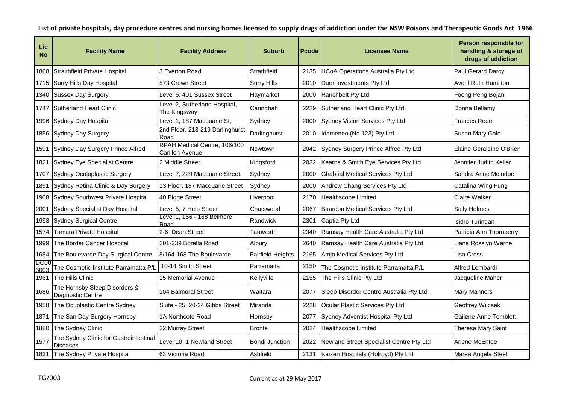| Lic<br><b>No</b>    | <b>Facility Name</b>                                      | <b>Facility Address</b>                         | <b>Suburb</b>            | <b>Pcode</b> | <b>Licensee Name</b>                     | Person responsble for<br>handling & storage of<br>drugs of addiction |
|---------------------|-----------------------------------------------------------|-------------------------------------------------|--------------------------|--------------|------------------------------------------|----------------------------------------------------------------------|
| 1868                | Straithfield Private Hospital                             | 3 Everton Road                                  | Strathfield              | 2135         | <b>HCoA Operations Australia Pty Ltd</b> | Paul Gerard Darcy                                                    |
| 1715                | Surry Hills Day Hospital                                  | 573 Crown Street                                | <b>Surry Hills</b>       | 2010         | Duer Investments Pty Ltd                 | <b>Averil Ruth Hamilton</b>                                          |
| 1340                | <b>Sussex Day Surgery</b>                                 | Level 5, 401 Sussex Street                      | Haymarket                | 2000         | Ranchbelt Pty Ltd                        | Foong Peng Bojan                                                     |
| 1747                | Sutherland Heart Clinic                                   | Level 2, Sutherland Hospital,<br>The Kingsway   | Caringbah                | 2229         | Sutherland Heart Clinic Pty Ltd          | Donna Bellamy                                                        |
| 1996                | Sydney Day Hospital                                       | Level 1, 187 Macquarie St,                      | Sydney                   | 2000         | Sydney Vision Services Pty Ltd           | <b>Frances Rede</b>                                                  |
| 1856                | Sydney Day Surgery                                        | 2nd Floor, 213-219 Darlinghurst<br>Road         | Darlinghurst             | 2010         | Idameneo (No 123) Pty Ltd                | Susan Mary Gale                                                      |
| 1591                | Sydney Day Surgery Prince Alfred                          | RPAH Medical Centre, 106/100<br>Carillon Avenue | <b>Newtown</b>           | 2042         | Sydney Surgery Prince Alfred Pty Ltd     | Elaine Geraldine O'Brien                                             |
| 1821                | <b>Sydney Eye Specialist Centre</b>                       | 2 Middle Street                                 | Kingsford                | 2032         | Kearns & Smith Eye Services Pty Ltd      | Jennifer Judith Keller                                               |
| 1707                | Sydney Oculoplastic Surgery                               | Level 7, 229 Macquarie Street                   | Sydney                   | 2000         | <b>Ghabrial Medical Services Pty Ltd</b> | Sandra Anne McIndoe                                                  |
| 1891                | Sydney Retina Clinic & Day Surgery                        | 13 Floor, 187 Macquarie Street                  | Sydney                   | 2000         | Andrew Chang Services Pty Ltd            | Catalina Wing Fung                                                   |
| 1908                | Sydney Southwest Private Hospital                         | 40 Bigge Street                                 | Liverpool                | 2170         | <b>Healthscope Limited</b>               | Claire Walker                                                        |
| 2001                | Sydney Specialist Day Hospital                            | Level 5, 7 Help Street                          | Chatswood                | 2067         | Baardon Medical Services Pty Ltd         | Sally Holmes                                                         |
| 1993                | <b>Sydney Surgical Centre</b>                             | Level 1, 166 - 168 Belmore<br>Road              | Randwick                 | 2301         | Captia Pty Ltd                           | Isidro Turingan                                                      |
| 1574                | Tamara Private Hospital                                   | 2-6 Dean Street                                 | Tamworth                 | 2340         | Ramsay Health Care Australia Pty Ltd     | Patricia Ann Thornberry                                              |
| 1999                | The Border Cancer Hospital                                | 201-239 Borella Road                            | Albury                   | 2640         | Ramsay Health Care Australia Pty Ltd     | iana Rosslyn Warne                                                   |
| 1684                | The Boulevarde Day Surgical Centre                        | 8/164-168 The Boulevarde                        | <b>Fairfield Heights</b> | 2165         | Amjo Medical Services Pty Ltd            | Lisa Cross                                                           |
| <b>DC00</b><br>3003 | The Cosmetic Institute Parramatta P/L                     | 10-14 Smith Street                              | Parramatta               | 2150         | The Cosmetic Institute Parramatta P/L    | Alfred Lombardi                                                      |
| 1961                | The Hills Clinic                                          | <b>15 Memorial Avenue</b>                       | Kellyville               | 2155         | The Hills Clinic Pty Ltd                 | Jacqueline Maher                                                     |
| 1686                | The Hornsby Sleep Disorders &<br><b>Diagnostic Centre</b> | 104 Balmoral Street                             | Waitara                  | 2077         | Sleep Disorder Centre Australia Pty Ltd  | <b>Mary Manners</b>                                                  |
| 1958                | The Ocuplastic Centre Sydney                              | Suite - 25, 20-24 Gibbs Street                  | Miranda                  | 2228         | Ocular Plastic Services Pty Ltd          | Geoffrey Wilcsek                                                     |
| 1871                | The San Day Surgery Hornsby                               | 1A Northcote Road                               | Hornsby                  | 2077         | Sydney Adventist Hospital Pty Ltd        | Gailene Anne Temblett                                                |
| 1880                | The Sydney Clinic                                         | 22 Murray Street                                | <b>Bronte</b>            | 2024         | <b>Healthscope Limited</b>               | Theresa Mary Saint                                                   |
| 1577                | The Sydney Clinic for Gastrointestinal<br><b>Diseases</b> | Level 10, 1 Newland Street                      | Bondi Junction           | 2022         | Newland Street Specialist Centre Pty Ltd | Arlene McEntee                                                       |
|                     | 1831 The Sydney Private Hospital                          | 63 Victoria Road                                | Ashfield                 | 2131         | Kaizen Hospitals (Holroyd) Pty Ltd       | Marea Angela Steel                                                   |